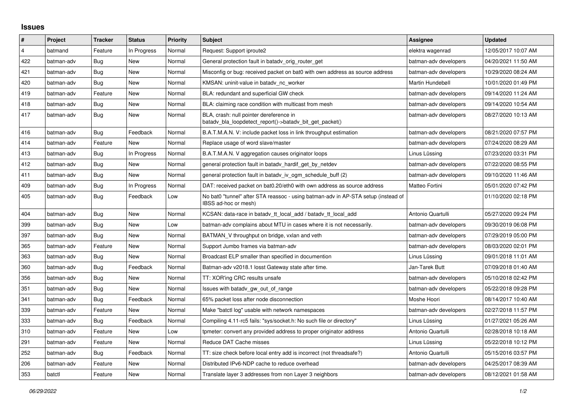## **Issues**

| #              | Project    | <b>Tracker</b> | <b>Status</b> | <b>Priority</b> | <b>Subject</b>                                                                                            | <b>Assignee</b>       | <b>Updated</b>      |
|----------------|------------|----------------|---------------|-----------------|-----------------------------------------------------------------------------------------------------------|-----------------------|---------------------|
| $\overline{4}$ | batmand    | Feature        | In Progress   | Normal          | Request: Support iproute2                                                                                 | elektra wagenrad      | 12/05/2017 10:07 AM |
| 422            | batman-adv | Bug            | New           | Normal          | General protection fault in batady orig router get                                                        | batman-adv developers | 04/20/2021 11:50 AM |
| 421            | batman-adv | Bug            | New           | Normal          | Misconfig or bug: received packet on bat0 with own address as source address                              | batman-adv developers | 10/29/2020 08:24 AM |
| 420            | batman-adv | Bug            | New           | Normal          | KMSAN: uninit-value in batady nc worker                                                                   | Martin Hundebøll      | 10/01/2020 01:49 PM |
| 419            | batman-adv | Feature        | New           | Normal          | BLA: redundant and superficial GW check                                                                   | batman-adv developers | 09/14/2020 11:24 AM |
| 418            | batman-adv | Bug            | New           | Normal          | BLA: claiming race condition with multicast from mesh                                                     | batman-adv developers | 09/14/2020 10:54 AM |
| 417            | batman-adv | Bug            | New           | Normal          | BLA, crash: null pointer dereference in<br>batady_bla_loopdetect_report()->batady_bit_get_packet()        | batman-adv developers | 08/27/2020 10:13 AM |
| 416            | batman-adv | Bug            | Feedback      | Normal          | B.A.T.M.A.N. V: include packet loss in link throughput estimation                                         | batman-adv developers | 08/21/2020 07:57 PM |
| 414            | batman-adv | Feature        | <b>New</b>    | Normal          | Replace usage of word slave/master                                                                        | batman-adv developers | 07/24/2020 08:29 AM |
| 413            | batman-adv | Bug            | In Progress   | Normal          | B.A.T.M.A.N. V aggregation causes originator loops                                                        | Linus Lüssing         | 07/23/2020 03:31 PM |
| 412            | batman-adv | Bug            | New           | Normal          | general protection fault in batady hardif get by netdev                                                   | batman-adv developers | 07/22/2020 08:55 PM |
| 411            | batman-adv | <b>Bug</b>     | <b>New</b>    | Normal          | general protection fault in batadv_iv_ogm_schedule_buff (2)                                               | batman-adv developers | 09/10/2020 11:46 AM |
| 409            | batman-adv | Bug            | In Progress   | Normal          | DAT: received packet on bat0.20/eth0 with own address as source address                                   | Matteo Fortini        | 05/01/2020 07:42 PM |
| 405            | batman-adv | Bug            | Feedback      | Low             | No bat0 "tunnel" after STA reassoc - using batman-adv in AP-STA setup (instead of<br>IBSS ad-hoc or mesh) |                       | 01/10/2020 02:18 PM |
| 404            | batman-adv | Bug            | <b>New</b>    | Normal          | KCSAN: data-race in batadv_tt_local_add / batadv_tt_local_add                                             | Antonio Quartulli     | 05/27/2020 09:24 PM |
| 399            | batman-adv | Bug            | <b>New</b>    | Low             | batman-adv complains about MTU in cases where it is not necessarily.                                      | batman-adv developers | 09/30/2019 06:08 PM |
| 397            | batman-adv | Bug            | New           | Normal          | BATMAN_V throughput on bridge, vxlan and veth                                                             | batman-adv developers | 07/29/2019 05:00 PM |
| 365            | batman-adv | Feature        | New           | Normal          | Support Jumbo frames via batman-adv                                                                       | batman-adv developers | 08/03/2020 02:01 PM |
| 363            | batman-adv | Bug            | <b>New</b>    | Normal          | Broadcast ELP smaller than specified in documention                                                       | Linus Lüssing         | 09/01/2018 11:01 AM |
| 360            | batman-adv | Bug            | Feedback      | Normal          | Batman-adv v2018.1 losst Gateway state after time.                                                        | Jan-Tarek Butt        | 07/09/2018 01:40 AM |
| 356            | batman-adv | Bug            | <b>New</b>    | Normal          | TT: XOR'ing CRC results unsafe                                                                            | batman-adv developers | 05/10/2018 02:42 PM |
| 351            | batman-adv | Bug            | New           | Normal          | Issues with batady gw out of range                                                                        | batman-adv developers | 05/22/2018 09:28 PM |
| 341            | batman-adv | Bug            | Feedback      | Normal          | 65% packet loss after node disconnection                                                                  | Moshe Hoori           | 08/14/2017 10:40 AM |
| 339            | batman-adv | Feature        | <b>New</b>    | Normal          | Make "batctl log" usable with network namespaces                                                          | batman-adv developers | 02/27/2018 11:57 PM |
| 333            | batman-adv | Bug            | Feedback      | Normal          | Compiling 4.11-rc5 fails: "sys/socket.h: No such file or directory"                                       | Linus Lüssing         | 01/27/2021 05:26 AM |
| 310            | batman-adv | Feature        | New           | Low             | tpmeter: convert any provided address to proper originator address                                        | Antonio Quartulli     | 02/28/2018 10:18 AM |
| 291            | batman-adv | Feature        | <b>New</b>    | Normal          | Reduce DAT Cache misses                                                                                   | Linus Lüssing         | 05/22/2018 10:12 PM |
| 252            | batman-adv | Bug            | Feedback      | Normal          | TT: size check before local entry add is incorrect (not threadsafe?)                                      | Antonio Quartulli     | 05/15/2016 03:57 PM |
| 206            | batman-adv | Feature        | New           | Normal          | Distributed IPv6-NDP cache to reduce overhead                                                             | batman-adv developers | 04/25/2017 08:39 AM |
| 353            | batctl     | Feature        | <b>New</b>    | Normal          | Translate layer 3 addresses from non Layer 3 neighbors                                                    | batman-adv developers | 08/12/2021 01:58 AM |